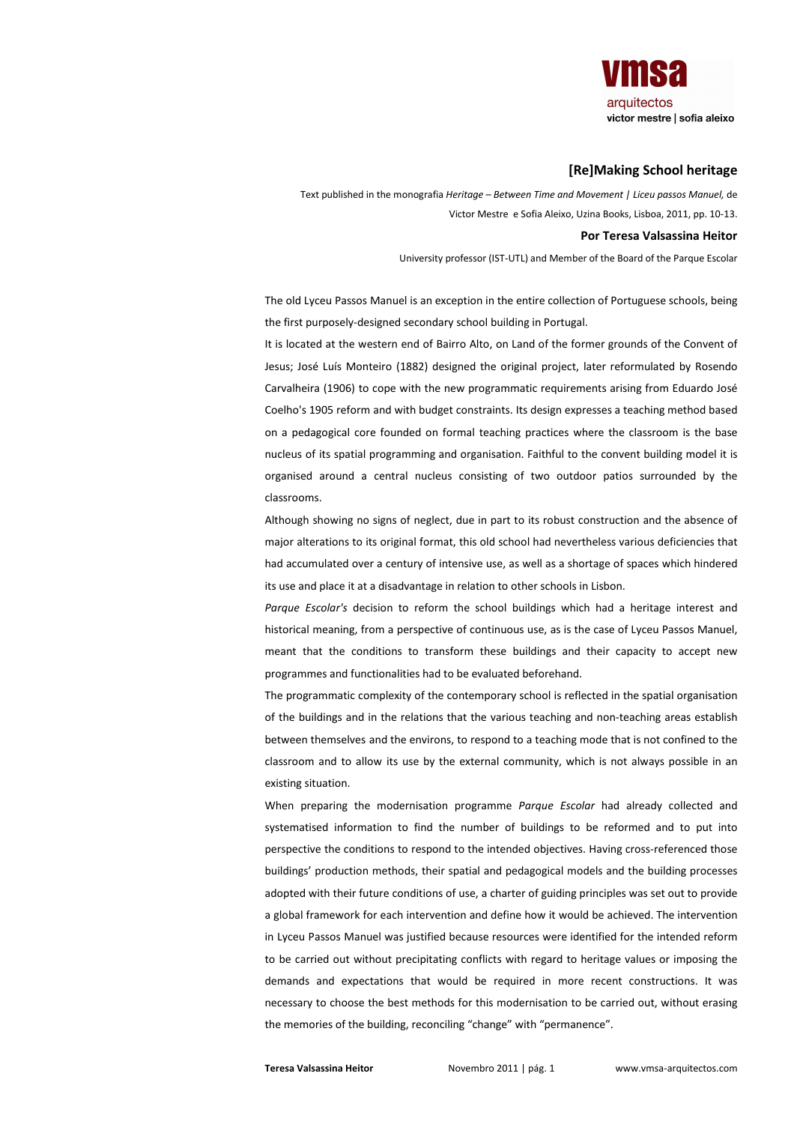

## **IRelMaking School heritage**

Text published in the monografia Heritage - Between Time and Movement | Liceu passos Manuel, de Victor Mestre e Sofia Aleixo, Uzina Books, Lisboa, 2011, pp. 10-13.

## Por Teresa Valsassina Heitor

University professor (IST-UTL) and Member of the Board of the Parque Escolar

The old Lyceu Passos Manuel is an exception in the entire collection of Portuguese schools, being the first purposely-designed secondary school building in Portugal.

It is located at the western end of Bairro Alto, on Land of the former grounds of the Convent of Jesus; José Luís Monteiro (1882) designed the original project, later reformulated by Rosendo Carvalheira (1906) to cope with the new programmatic requirements arising from Eduardo José Coelho's 1905 reform and with budget constraints. Its design expresses a teaching method based on a pedagogical core founded on formal teaching practices where the classroom is the base nucleus of its spatial programming and organisation. Faithful to the convent building model it is organised around a central nucleus consisting of two outdoor patios surrounded by the classrooms.

Although showing no signs of neglect, due in part to its robust construction and the absence of major alterations to its original format, this old school had nevertheless various deficiencies that had accumulated over a century of intensive use, as well as a shortage of spaces which hindered its use and place it at a disadvantage in relation to other schools in Lisbon.

Parque Escolar's decision to reform the school buildings which had a heritage interest and historical meaning, from a perspective of continuous use, as is the case of Lyceu Passos Manuel, meant that the conditions to transform these buildings and their capacity to accept new programmes and functionalities had to be evaluated beforehand.

The programmatic complexity of the contemporary school is reflected in the spatial organisation of the buildings and in the relations that the various teaching and non-teaching areas establish between themselves and the environs, to respond to a teaching mode that is not confined to the classroom and to allow its use by the external community, which is not always possible in an existing situation.

When preparing the modernisation programme Parque Escolar had already collected and systematised information to find the number of buildings to be reformed and to put into perspective the conditions to respond to the intended objectives. Having cross-referenced those buildings' production methods, their spatial and pedagogical models and the building processes adopted with their future conditions of use, a charter of guiding principles was set out to provide a global framework for each intervention and define how it would be achieved. The intervention in Lyceu Passos Manuel was justified because resources were identified for the intended reform to be carried out without precipitating conflicts with regard to heritage values or imposing the demands and expectations that would be required in more recent constructions. It was necessary to choose the best methods for this modernisation to be carried out, without erasing the memories of the building, reconciling "change" with "permanence".

Teresa Valsassina Heitor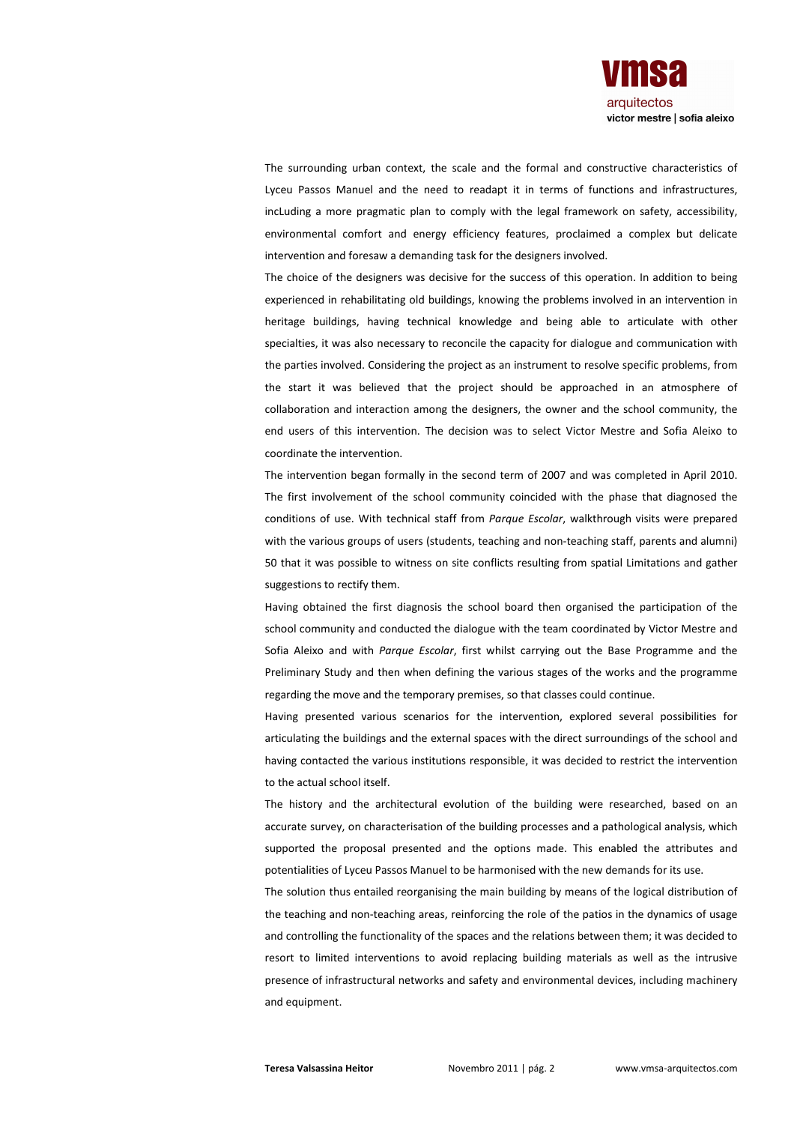

The surrounding urban context, the scale and the formal and constructive characteristics of Lyceu Passos Manuel and the need to readapt it in terms of functions and infrastructures, incLuding a more pragmatic plan to comply with the legal framework on safety, accessibility, environmental comfort and energy efficiency features, proclaimed a complex but delicate intervention and foresaw a demanding task for the designers involved.

The choice of the designers was decisive for the success of this operation. In addition to being experienced in rehabilitating old buildings, knowing the problems involved in an intervention in heritage buildings, having technical knowledge and being able to articulate with other specialties, it was also necessary to reconcile the capacity for dialogue and communication with the parties involved. Considering the project as an instrument to resolve specific problems, from the start it was believed that the project should be approached in an atmosphere of collaboration and interaction among the designers, the owner and the school community, the end users of this intervention. The decision was to select Victor Mestre and Sofia Aleixo to coordinate the intervention

The intervention began formally in the second term of 2007 and was completed in April 2010. The first involvement of the school community coincided with the phase that diagnosed the conditions of use. With technical staff from Parque Escolar, walkthrough visits were prepared with the various groups of users (students, teaching and non-teaching staff, parents and alumni) 50 that it was possible to witness on site conflicts resulting from spatial Limitations and gather suggestions to rectify them.

Having obtained the first diagnosis the school board then organised the participation of the school community and conducted the dialogue with the team coordinated by Victor Mestre and Sofia Aleixo and with Parque Escolar, first whilst carrying out the Base Programme and the Preliminary Study and then when defining the various stages of the works and the programme regarding the move and the temporary premises, so that classes could continue.

Having presented various scenarios for the intervention, explored several possibilities for articulating the buildings and the external spaces with the direct surroundings of the school and having contacted the various institutions responsible, it was decided to restrict the intervention to the actual school itself.

The history and the architectural evolution of the building were researched, based on an accurate survey, on characterisation of the building processes and a pathological analysis, which supported the proposal presented and the options made. This enabled the attributes and potentialities of Lyceu Passos Manuel to be harmonised with the new demands for its use.

The solution thus entailed reorganising the main building by means of the logical distribution of the teaching and non-teaching areas, reinforcing the role of the patios in the dynamics of usage and controlling the functionality of the spaces and the relations between them; it was decided to resort to limited interventions to avoid replacing building materials as well as the intrusive presence of infrastructural networks and safety and environmental devices, including machinery and equipment.